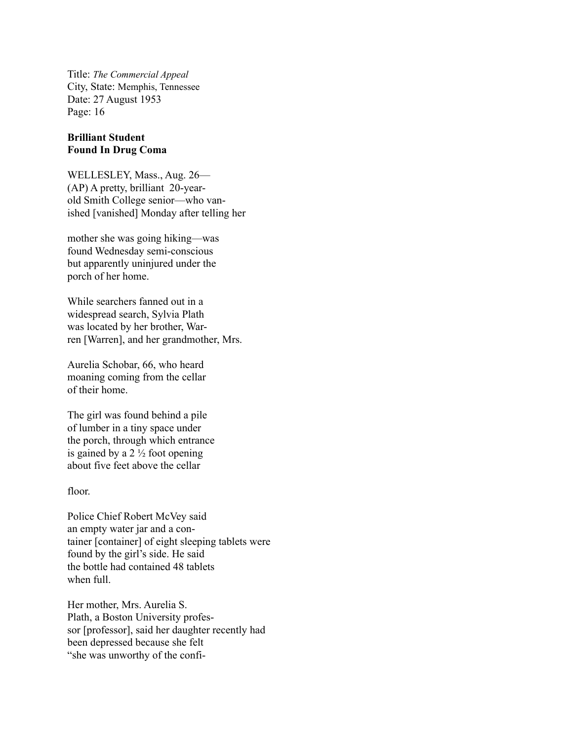Title: *The Commercial Appeal* City, State: Memphis, Tennessee Date: 27 August 1953 Page: 16

## **Brilliant Student Found In Drug Coma**

WELLESLEY, Mass., Aug. 26— (AP) A pretty, brilliant 20-yearold Smith College senior—who vanished [vanished] Monday after telling her

mother she was going hiking—was found Wednesday semi-conscious but apparently uninjured under the porch of her home.

While searchers fanned out in a widespread search, Sylvia Plath was located by her brother, Warren [Warren], and her grandmother, Mrs.

Aurelia Schobar, 66, who heard moaning coming from the cellar of their home.

The girl was found behind a pile of lumber in a tiny space under the porch, through which entrance is gained by a  $2\frac{1}{2}$  foot opening about five feet above the cellar

## floor.

Police Chief Robert McVey said an empty water jar and a container [container] of eight sleeping tablets were found by the girl's side. He said the bottle had contained 48 tablets when full.

Her mother, Mrs. Aurelia S. Plath, a Boston University professor [professor], said her daughter recently had been depressed because she felt "she was unworthy of the confi-